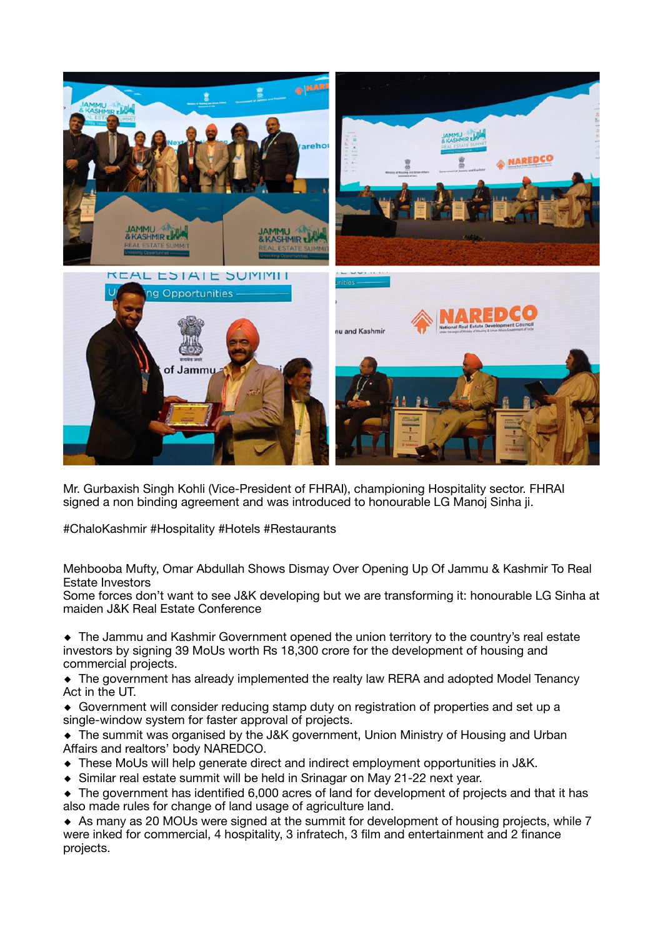

Mr. Gurbaxish Singh Kohli (Vice-President of FHRAI), championing Hospitality sector. FHRAI signed a non binding agreement and was introduced to honourable LG Manoj Sinha ji.

#ChaloKashmir #Hospitality #Hotels #Restaurants

Mehbooba Mufty, Omar Abdullah Shows Dismay Over Opening Up Of Jammu & Kashmir To Real Estate Investors

Some forces don't want to see J&K developing but we are transforming it: honourable LG Sinha at maiden J&K Real Estate Conference

◆ The Jammu and Kashmir Government opened the union territory to the country's real estate investors by signing 39 MoUs worth Rs 18,300 crore for the development of housing and commercial projects.

◆ The government has already implemented the realty law RERA and adopted Model Tenancy Act in the UT.

◆ Government will consider reducing stamp duty on registration of properties and set up a single-window system for faster approval of projects.

◆ The summit was organised by the J&K government, Union Ministry of Housing and Urban Affairs and realtors' body NAREDCO.

- ◆ These MoUs will help generate direct and indirect employment opportunities in J&K.
- ◆ Similar real estate summit will be held in Srinagar on May 21-22 next year.

◆ The government has identified 6,000 acres of land for development of projects and that it has also made rules for change of land usage of agriculture land.

◆ As many as 20 MOUs were signed at the summit for development of housing projects, while 7 were inked for commercial, 4 hospitality, 3 infratech, 3 film and entertainment and 2 finance projects.